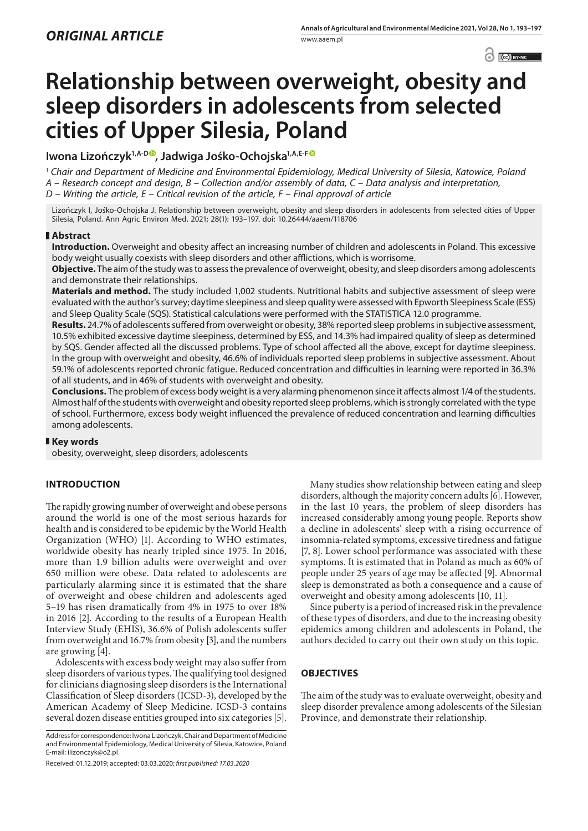$\bigcirc$   $\bigcirc$  BY-NC  $\bigcirc$ 

# **Relationship between overweight, obesity and sleep disorders in adolescents from selected cities of Upper Silesia, Poland**

# **Iwona Lizończyk1,A-D [,](https://orcid.org/0000-0002-0849-8697) Jadwiga Jośko-Ochojska1,A,E-F**

<sup>1</sup> *Chair and Department of Medicine and Environmental Epidemiology, Medical University of Silesia, Katowice, Poland A – Research concept and design, B – Collection and/or assembly of data, C – Data analysis and interpretation, D – Writing the article, E – Critical revision of the article, F – Final approval of article*

Lizończyk I, Jośko-Ochojska J. Relationship between overweight, obesity and sleep disorders in adolescents from selected cities of Upper Silesia, Poland. Ann Agric Environ Med. 2021; 28(1): 193–197. doi: 10.26444/aaem/118706

# **Abstract**

**Introduction.** Overweight and obesity affect an increasing number of children and adolescents in Poland. This excessive body weight usually coexists with sleep disorders and other afflictions, which is worrisome.

**Objective.** The aim of the study was to assess the prevalence of overweight, obesity, and sleep disorders among adolescents and demonstrate their relationships.

**Materials and method.** The study included 1,002 students. Nutritional habits and subjective assessment of sleep were evaluated with the author's survey; daytime sleepiness and sleep quality were assessed with Epworth Sleepiness Scale (ESS) and Sleep Quality Scale (SQS). Statistical calculations were performed with the STATISTICA 12.0 programme.

**Results.** 24.7% of adolescents suffered from overweight or obesity, 38% reported sleep problems in subjective assessment, 10.5% exhibited excessive daytime sleepiness, determined by ESS, and 14.3% had impaired quality of sleep as determined by SQS. Gender affected all the discussed problems. Type of school affected all the above, except for daytime sleepiness. In the group with overweight and obesity, 46.6% of individuals reported sleep problems in subjective assessment. About 59.1% of adolescents reported chronic fatigue. Reduced concentration and difficulties in learning were reported in 36.3% of all students, and in 46% of students with overweight and obesity.

**Conclusions.** The problem of excess body weight is a very alarming phenomenon since it affects almost 1/4 of the students. Almost half of the students with overweight and obesity reported sleep problems, which is strongly correlated with the type of school. Furthermore, excess body weight influenced the prevalence of reduced concentration and learning difficulties among adolescents.

# **Key words**

obesity, overweight, sleep disorders, adolescents

# **INTRODUCTION**

The rapidly growing number of overweight and obese persons around the world is one of the most serious hazards for health and is considered to be epidemic by the World Health Organization (WHO) [1]. According to WHO estimates, worldwide obesity has nearly tripled since 1975. In 2016, more than 1.9 billion adults were overweight and over 650 million were obese. Data related to adolescents are particularly alarming since it is estimated that the share of overweight and obese children and adolescents aged 5–19 has risen dramatically from 4% in 1975 to over 18% in 2016 [2]. According to the results of a European Health Interview Study (EHIS), 36.6% of Polish adolescents suffer from overweight and 16.7% from obesity [3], and the numbers are growing [4].

Adolescents with excess body weight may also suffer from sleep disorders of various types. The qualifying tool designed for clinicians diagnosing sleep disorders is the International Classification of Sleep disorders (ICSD-3), developed by the American Academy of Sleep Medicine. ICSD-3 contains several dozen disease entities grouped into six categories [5].

Address for correspondence: Iwona Lizończyk, Chair and Department of Medicine and Environmental Epidemiology, Medical University of Silesia, Katowice, Poland E-mail: ilizonczyk@o2.pl

Many studies show relationship between eating and sleep disorders, although the majority concern adults [6]. However, in the last 10 years, the problem of sleep disorders has increased considerably among young people. Reports show a decline in adolescents' sleep with a rising occurrence of insomnia-related symptoms, excessive tiredness and fatigue [7, 8]. Lower school performance was associated with these symptoms. It is estimated that in Poland as much as 60% of people under 25 years of age may be affected [9]. Abnormal sleep is demonstrated as both a consequence and a cause of overweight and obesity among adolescents [10, 11].

Since puberty is a period of increased risk in the prevalence of these types of disorders, and due to the increasing obesity epidemics among children and adolescents in Poland, the authors decided to carry out their own study on this topic.

# **OBJECTIVES**

The aim of the study was to evaluate overweight, obesity and sleep disorder prevalence among adolescents of the Silesian Province, and demonstrate their relationship.

Received: 01.12.2019; accepted: 03.03.2020; *first published: 17.03.2020*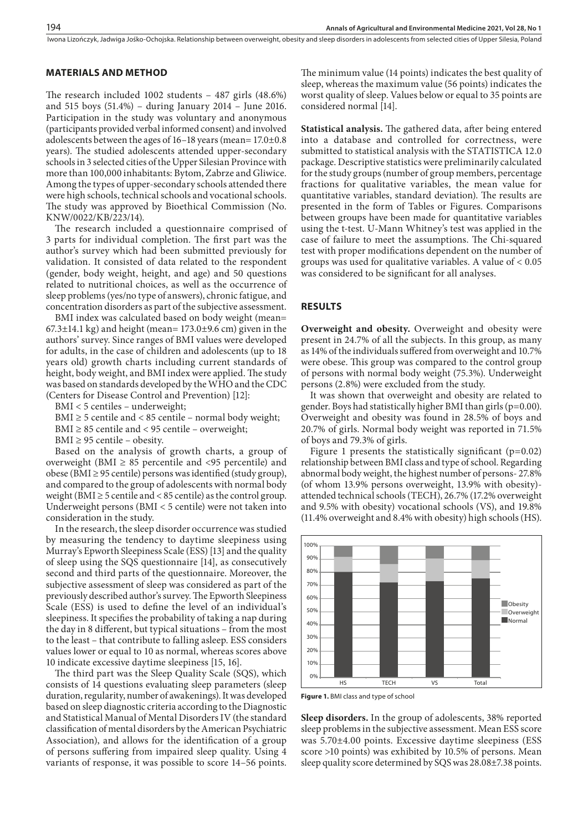#### Iwona Lizończyk, Jadwiga Jośko-Ochojska . Relationship between overweight, obesity and sleep disorders in adolescents from selected cities of Upper Silesia, Poland

## **MATERIALS AND METHOD**

The research included 1002 students – 487 girls (48.6%) and 515 boys (51.4%) – during January 2014 – June 2016. Participation in the study was voluntary and anonymous (participants provided verbal informed consent) and involved adolescents between the ages of 16–18 years (mean= 17.0±0.8 years). The studied adolescents attended upper-secondary schools in 3 selected cities of the Upper Silesian Province with more than 100,000 inhabitants: Bytom, Zabrze and Gliwice. Among the types of upper-secondary schools attended there were high schools, technical schools and vocational schools. The study was approved by Bioethical Commission (No. KNW/0022/KB/223/14).

The research included a questionnaire comprised of 3 parts for individual completion. The first part was the author's survey which had been submitted previously for validation. It consisted of data related to the respondent (gender, body weight, height, and age) and 50 questions related to nutritional choices, as well as the occurrence of sleep problems (yes/no type of answers), chronic fatigue, and concentration disorders as part of the subjective assessment.

BMI index was calculated based on body weight (mean=  $67.3\pm14.1$  kg) and height (mean=  $173.0\pm9.6$  cm) given in the authors' survey. Since ranges of BMI values were developed for adults, in the case of children and adolescents (up to 18 years old) growth charts including current standards of height, body weight, and BMI index were applied. The study was based on standards developed by the WHO and the CDC (Centers for Disease Control and Prevention) [12]:

BMI < 5 centiles – underweight;

BMI  $\geq$  5 centile and < 85 centile – normal body weight;

BMI  $\geq$  85 centile and < 95 centile – overweight;

BMI  $\geq$  95 centile – obesity.

Based on the analysis of growth charts, a group of overweight (BMI  $\geq$  85 percentile and <95 percentile) and obese (BMI $\geq$  95 centile) persons was identified (study group), and compared to the group of adolescents with normal body weight (BMI  $\geq$  5 centile and < 85 centile) as the control group. Underweight persons (BMI < 5 centile) were not taken into consideration in the study.

In the research, the sleep disorder occurrence was studied by measuring the tendency to daytime sleepiness using Murray's Epworth Sleepiness Scale (ESS) [13] and the quality of sleep using the SQS questionnaire [14], as consecutively second and third parts of the questionnaire. Moreover, the subjective assessment of sleep was considered as part of the previously described author's survey. The Epworth Sleepiness Scale (ESS) is used to define the level of an individual's sleepiness. It specifies the probability of taking a nap during the day in 8 different, but typical situations – from the most to the least – that contribute to falling asleep. ESS considers values lower or equal to 10 as normal, whereas scores above 10 indicate excessive daytime sleepiness [15, 16].

The third part was the Sleep Quality Scale (SQS), which consists of 14 questions evaluating sleep parameters (sleep duration, regularity, number of awakenings). It was developed based on sleep diagnostic criteria according to the Diagnostic and Statistical Manual of Mental Disorders IV (the standard classification of mental disorders by the American Psychiatric Association), and allows for the identification of a group of persons suffering from impaired sleep quality. Using 4 variants of response, it was possible to score 14–56 points.

The minimum value (14 points) indicates the best quality of sleep, whereas the maximum value (56 points) indicates the worst quality of sleep. Values below or equal to 35 points are considered normal [14].

**Statistical analysis.** The gathered data, after being entered into a database and controlled for correctness, were submitted to statistical analysis with the STATISTICA 12.0 package. Descriptive statistics were preliminarily calculated for the study groups (number of group members, percentage fractions for qualitative variables, the mean value for quantitative variables, standard deviation). The results are presented in the form of Tables or Figures. Comparisons between groups have been made for quantitative variables using the t-test. U-Mann Whitney's test was applied in the case of failure to meet the assumptions. The Chi-squared test with proper modifications dependent on the number of groups was used for qualitative variables. A value of < 0.05 was considered to be significant for all analyses.

#### **RESULTS**

**Overweight and obesity.** Overweight and obesity were present in 24.7% of all the subjects. In this group, as many as 14% of the individuals suffered from overweight and 10.7% were obese. This group was compared to the control group of persons with normal body weight (75.3%). Underweight persons (2.8%) were excluded from the study.

It was shown that overweight and obesity are related to gender. Boys had statistically higher BMI than girls ( $p=0.00$ ). Overweight and obesity was found in 28.5% of boys and 20.7% of girls. Normal body weight was reported in 71.5% of boys and 79.3% of girls.

Figure 1 presents the statistically significant  $(p=0.02)$ relationship between BMI class and type of school. Regarding abnormal body weight, the highest number of persons- 27.8% (of whom 13.9% persons overweight, 13.9% with obesity) attended technical schools (TECH), 26.7% (17.2% overweight and 9.5% with obesity) vocational schools (VS), and 19.8% (11.4% overweight and 8.4% with obesity) high schools (HS).



**Figure 1.** BMI class and type of school

**Sleep disorders.** In the group of adolescents, 38% reported sleep problems in the subjective assessment. Mean ESS score was 5.70±4.00 points. Excessive daytime sleepiness (ESS score >10 points) was exhibited by 10.5% of persons. Mean sleep quality score determined by SQS was 28.08±7.38 points.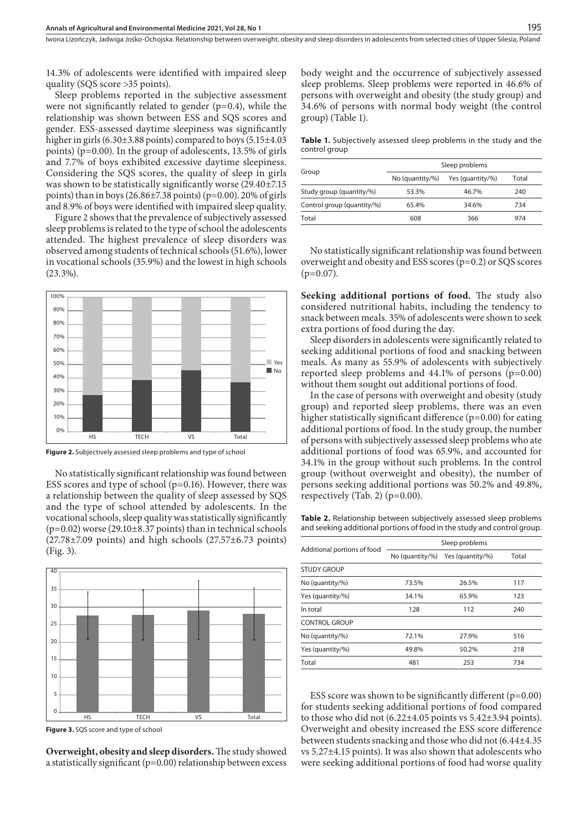Iwona Lizończyk, Jadwiga Jośko-Ochojska . Relationship between overweight, obesity and sleep disorders in adolescents from selected cities of Upper Silesia, Poland

14.3% of adolescents were identified with impaired sleep quality (SQS score >35 points).

Sleep problems reported in the subjective assessment were not significantly related to gender  $(p=0.4)$ , while the relationship was shown between ESS and SQS scores and gender. ESS-assessed daytime sleepiness was significantly higher in girls (6.30±3.88 points) compared to boys (5.15±4.03 points) (p=0.00). In the group of adolescents, 13.5% of girls and 7.7% of boys exhibited excessive daytime sleepiness. Considering the SQS scores, the quality of sleep in girls was shown to be statistically significantly worse (29.40±7.15 points) than in boys  $(26.86\pm7.38 \text{ points})$  (p=0.00). 20% of girls and 8.9% of boys were identified with impaired sleep quality.

Figure 2 shows that the prevalence of subjectively assessed sleep problems is related to the type of school the adolescents attended. The highest prevalence of sleep disorders was observed among students of technical schools (51.6%), lower in vocational schools (35.9%) and the lowest in high schools (23.3%).



**Figure 2.** Subjectively assessed sleep problems and type of school

No statistically significant relationship was found between ESS scores and type of school (p=0.16). However, there was a relationship between the quality of sleep assessed by SQS and the type of school attended by adolescents. In the vocational schools, sleep quality was statistically significantly  $(p=0.02)$  worse  $(29.10\pm8.37$  points) than in technical schools  $(27.78\pm7.09$  points) and high schools  $(27.57\pm6.73$  points) (Fig. 3).



**Figure 3.** SQS score and type of school

**Overweight, obesity and sleep disorders.** The study showed a statistically significant (p=0.00) relationship between excess

body weight and the occurrence of subjectively assessed sleep problems. Sleep problems were reported in 46.6% of persons with overweight and obesity (the study group) and 34.6% of persons with normal body weight (the control group) (Table 1).

**Table 1.** Subjectively assessed sleep problems in the study and the control group

| Group                      | Sleep problems      |                  |       |
|----------------------------|---------------------|------------------|-------|
|                            | No (quantity/ $%$ ) | Yes (quantity/%) | Total |
| Study group (quantity/%)   | 53.3%               | 46.7%            | 240   |
| Control group (quantity/%) | 65.4%               | 34.6%            | 734   |
| Total                      | 608                 | 366              | 974   |

No statistically significant relationship was found between overweight and obesity and ESS scores (p=0.2) or SQS scores  $(p=0.07)$ .

**Seeking additional portions of food.** The study also considered nutritional habits, including the tendency to snack between meals. 35% of adolescents were shown to seek extra portions of food during the day.

Sleep disorders in adolescents were significantly related to seeking additional portions of food and snacking between meals. As many as 55.9% of adolescents with subjectively reported sleep problems and 44.1% of persons (p=0.00) without them sought out additional portions of food.

In the case of persons with overweight and obesity (study group) and reported sleep problems, there was an even higher statistically significant difference  $(p=0.00)$  for eating additional portions of food. In the study group, the number of persons with subjectively assessed sleep problems who ate additional portions of food was 65.9%, and accounted for 34.1% in the group without such problems. In the control group (without overweight and obesity), the number of persons seeking additional portions was 50.2% and 49.8%, respectively (Tab. 2) (p=0.00).

**Table 2.** Relationship between subjectively assessed sleep problems and seeking additional portions of food in the study and control group.

| Additional portions of food | Sleep problems      |                  |       |
|-----------------------------|---------------------|------------------|-------|
|                             | No (quantity/ $%$ ) | Yes (quantity/%) | Total |
| <b>STUDY GROUP</b>          |                     |                  |       |
| No (quantity/%)             | 73.5%               | 26.5%            | 117   |
| Yes (quantity/%)            | 34.1%               | 65.9%            | 123   |
| In total                    | 128                 | 112              | 240   |
| <b>CONTROL GROUP</b>        |                     |                  |       |
| No (quantity/%)             | 72.1%               | 27.9%            | 516   |
| Yes (quantity/%)            | 49.8%               | 50.2%            | 218   |
| Total                       | 481                 | 253              | 734   |

ESS score was shown to be significantly different (p=0.00) for students seeking additional portions of food compared to those who did not (6.22±4.05 points vs 5.42±3.94 points). Overweight and obesity increased the ESS score difference between students snacking and those who did not (6.44±4.35 vs 5.27±4.15 points). It was also shown that adolescents who were seeking additional portions of food had worse quality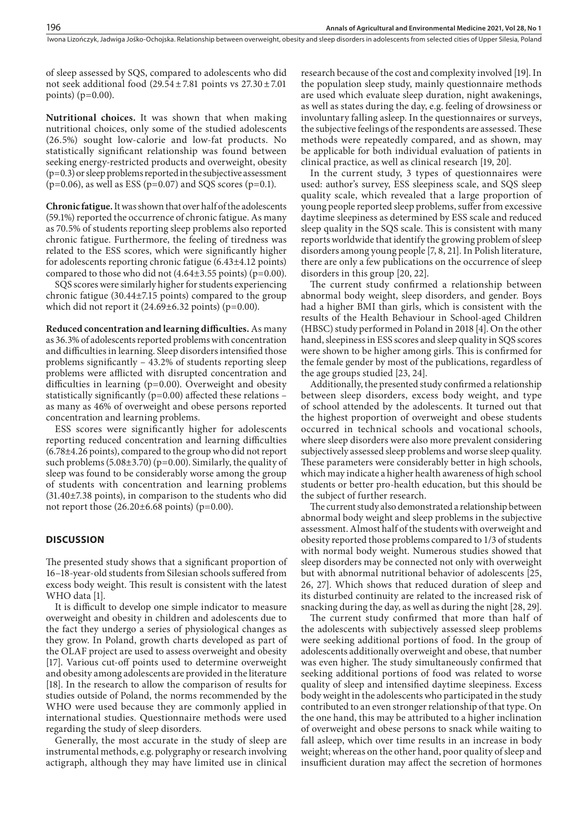of sleep assessed by SQS, compared to adolescents who did not seek additional food  $(29.54 \pm 7.81$  points vs  $27.30 \pm 7.01$ points) ( $p=0.00$ ).

**Nutritional choices.** It was shown that when making nutritional choices, only some of the studied adolescents (26.5%) sought low-calorie and low-fat products. No statistically significant relationship was found between seeking energy-restricted products and overweight, obesity  $(p=0.3)$  or sleep problems reported in the subjective assessment  $(p=0.06)$ , as well as ESS ( $p=0.07$ ) and SQS scores ( $p=0.1$ ).

**Chronic fatigue.** It was shown that over half of the adolescents (59.1%) reported the occurrence of chronic fatigue. As many as 70.5% of students reporting sleep problems also reported chronic fatigue. Furthermore, the feeling of tiredness was related to the ESS scores, which were significantly higher for adolescents reporting chronic fatigue (6.43±4.12 points) compared to those who did not  $(4.64\pm3.55 \text{ points})$  (p=0.00).

SQS scores were similarly higher for students experiencing chronic fatigue (30.44±7.15 points) compared to the group which did not report it  $(24.69\pm6.32 \text{ points})$  (p=0.00).

**Reduced concentration and learning difficulties.** As many as 36.3% of adolescents reported problems with concentration and difficulties in learning. Sleep disorders intensified those problems significantly – 43.2% of students reporting sleep problems were afflicted with disrupted concentration and difficulties in learning (p=0.00). Overweight and obesity statistically significantly ( $p=0.00$ ) affected these relations – as many as 46% of overweight and obese persons reported concentration and learning problems.

ESS scores were significantly higher for adolescents reporting reduced concentration and learning difficulties (6.78±4.26 points), compared to the group who did not report such problems  $(5.08\pm3.70)$  (p=0.00). Similarly, the quality of sleep was found to be considerably worse among the group of students with concentration and learning problems (31.40±7.38 points), in comparison to the students who did not report those (26.20±6.68 points) (p=0.00).

# **DISCUSSION**

The presented study shows that a significant proportion of 16–18-year-old students from Silesian schools suffered from excess body weight. This result is consistent with the latest WHO data [1].

It is difficult to develop one simple indicator to measure overweight and obesity in children and adolescents due to the fact they undergo a series of physiological changes as they grow. In Poland, growth charts developed as part of the OLAF project are used to assess overweight and obesity [17]. Various cut-off points used to determine overweight and obesity among adolescents are provided in the literature [18]. In the research to allow the comparison of results for studies outside of Poland, the norms recommended by the WHO were used because they are commonly applied in international studies. Questionnaire methods were used regarding the study of sleep disorders.

Generally, the most accurate in the study of sleep are instrumental methods, e.g. polygraphy or research involving actigraph, although they may have limited use in clinical

research because of the cost and complexity involved [19]. In the population sleep study, mainly questionnaire methods are used which evaluate sleep duration, night awakenings, as well as states during the day, e.g. feeling of drowsiness or involuntary falling asleep. In the questionnaires or surveys, the subjective feelings of the respondents are assessed. These methods were repeatedly compared, and as shown, may be applicable for both individual evaluation of patients in clinical practice, as well as clinical research [19, 20].

In the current study, 3 types of questionnaires were used: author's survey, ESS sleepiness scale, and SQS sleep quality scale, which revealed that a large proportion of young people reported sleep problems, suffer from excessive daytime sleepiness as determined by ESS scale and reduced sleep quality in the SQS scale. This is consistent with many reports worldwide that identify the growing problem of sleep disorders among young people [7, 8, 21]. In Polish literature, there are only a few publications on the occurrence of sleep disorders in this group [20, 22].

The current study confirmed a relationship between abnormal body weight, sleep disorders, and gender. Boys had a higher BMI than girls, which is consistent with the results of the Health Behaviour in School-aged Children (HBSC) study performed in Poland in 2018 [4]. On the other hand, sleepiness in ESS scores and sleep quality in SQS scores were shown to be higher among girls. This is confirmed for the female gender by most of the publications, regardless of the age groups studied [23, 24].

Additionally, the presented study confirmed a relationship between sleep disorders, excess body weight, and type of school attended by the adolescents. It turned out that the highest proportion of overweight and obese students occurred in technical schools and vocational schools, where sleep disorders were also more prevalent considering subjectively assessed sleep problems and worse sleep quality. These parameters were considerably better in high schools, which may indicate a higher health awareness of high school students or better pro-health education, but this should be the subject of further research.

The current study also demonstrated a relationship between abnormal body weight and sleep problems in the subjective assessment. Almost half of the students with overweight and obesity reported those problems compared to 1/3 of students with normal body weight. Numerous studies showed that sleep disorders may be connected not only with overweight but with abnormal nutritional behavior of adolescents [25, 26, 27]. Which shows that reduced duration of sleep and its disturbed continuity are related to the increased risk of snacking during the day, as well as during the night [28, 29].

The current study confirmed that more than half of the adolescents with subjectively assessed sleep problems were seeking additional portions of food. In the group of adolescents additionally overweight and obese, that number was even higher. The study simultaneously confirmed that seeking additional portions of food was related to worse quality of sleep and intensified daytime sleepiness. Excess body weight in the adolescents who participated in the study contributed to an even stronger relationship of that type. On the one hand, this may be attributed to a higher inclination of overweight and obese persons to snack while waiting to fall asleep, which over time results in an increase in body weight; whereas on the other hand, poor quality of sleep and insufficient duration may affect the secretion of hormones